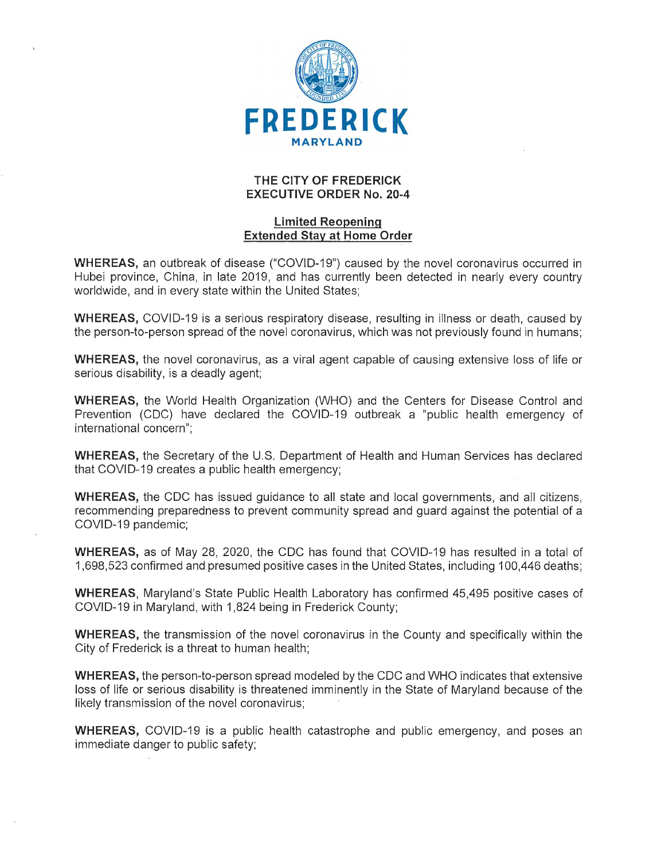

## **THE CITY OF FREDERICK EXECUTIVE ORDER No. 20-4**

## **Limited Reopening Extended Stay at Home Order**

**WHEREAS,** an outbreak of disease ("COVID-19") caused by the novel coronavirus occurred in Hubei province, China, in late 2019, and has currently been detected in nearly every country worldwide, and in every state within the United States;

**WHEREAS,** COVID-19 is a serious respiratory disease, resulting in illness or death, caused by the person-to-person spread of the novel coronavirus, which was not previously found in humans;

**WHEREAS,** the novel coronavirus, as a viral agent capable of causing extensive loss of life or serious disability, is a deadly agent;

**WHEREAS,** the World Health Organization (WHO) and the Centers for Disease Control and Prevention (CDC) have declared the COVID-19 outbreak a "public health emergency of international concern";

**WHEREAS,** the Secretary of the U.S. Department of Health and Human Services has declared that COVID-19 creates a public health emergency;

**WHEREAS,** the CDC has issued guidance to all state and local governments, and all citizens, recommending preparedness to prevent community spread and guard against the potential of a COVID-19 pandemic;

**WHEREAS,** as of May 28, 2020, the CDC has found that COVID-19 has resulted in a total of 1,698,523 confirmed and presumed positive cases in the United States, including 100,446 deaths;

**WHEREAS,** Maryland's State Public Health Laboratory has confirmed 45,495 positive cases of COVID-19 in Maryland, with 1,824 being in Frederick County;

**WHEREAS,** the transmission of the novel coronavirus in the County and specifically within the City of Frederick is a threat to human health;

**WHEREAS,** the person-to-person spread modeled by the CDC and WHO indicates that extensive loss of life or serious disability is threatened imminently in the State of Maryland because of the likely transmission of the novel coronavirus;

**WHEREAS,** COVID-19 is a public health catastrophe and public emergency, and poses an immediate danger to public safety;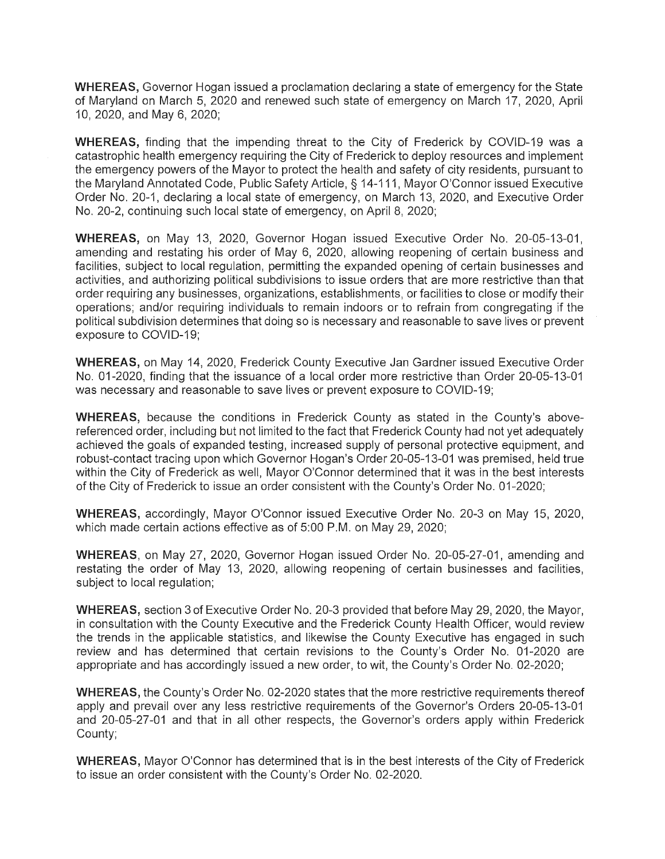**WHEREAS,** Governor Hogan issued a proclamation declaring a state of emergency for the State of Maryland on March 5, 2020 and renewed such state of emergency on March 17, 2020, April 10, 2020, and May 6, 2020;

**WHEREAS,** finding that the impending threat to the City of Frederick by COVID-19 was a catastrophic health emergency requiring the City of Frederick to deploy resources and implement the emergency powers of the Mayor to protect the health and safety of city residents, pursuant to the Maryland Annotated Code, Public Safety Article,§ 14-111, Mayor O'Connor issued Executive Order No. 20-1, declaring a local state of emergency, on March 13, 2020, and Executive Order No. 20-2, continuing such local state of emergency, on April 8, 2020;

**WHEREAS,** on May 13, 2020, Governor Hogan issued Executive Order No. 20-05-13-01, amending and restating his order of May 6, 2020, allowing reopening of certain business and facilities, subject to local regulation, permitting the expanded opening of certain businesses and activities, and authorizing political subdivisions to issue orders that are more restrictive than that order requiring any businesses, organizations, establishments, or facilities to close or modify their operations; and/or requiring individuals to remain indoors or to refrain from congregating if the political subdivision determines that doing so is necessary and reasonable to save lives or prevent exposure to COVID-19;

**WHEREAS,** on May 14, 2020, Frederick County Executive Jan Gardner issued Executive Order No. 01-2020, finding that the issuance of a local order more restrictive than Order 20-05-13-01 was necessary and reasonable to save lives or prevent exposure to COVID-19;

**WHEREAS,** because the conditions in Frederick County as stated in the County's abovereferenced order, including but not limited to the fact that Frederick County had not yet adequately achieved the goals of expanded testing, increased supply of personal protective equipment, and robust-contact tracing upon which Governor Hogan's Order 20-05-13-01 was premised, held true within the City of Frederick as well, Mayor O'Connor determined that it was in the best interests of the City of Frederick to issue an order consistent with the County's Order No. 01-2020;

**WHEREAS,** accordingly, Mayor O'Connor issued Executive Order No. 20-3 on May 15, 2020, which made certain actions effective as of 5:00 P.M. on May 29, 2020;

**WHEREAS,** on May 27, 2020, Governor Hogan issued Order No. 20-05-27-01, amending and restating the order of May 13, 2020, allowing reopening of certain businesses and facilities, subject to local regulation;

**WHEREAS,** section 3 of Executive Order No. 20-3 provided that before May 29, 2020, the Mayor, in consultation with the County Executive and the Frederick County Health Officer, would review the trends in the applicable statistics, and likewise the County Executive has engaged in such review and has determined that certain revisions to the County's Order No. 01-2020 are appropriate and has accordingly issued a new order, to wit, the County's Order No. 02-2020;

**WHEREAS,** the County's Order No. 02-2020 states that the more restrictive requirements thereof apply and prevail over any less restrictive requirements of the Governor's Orders 20-05-13-01 and 20-05-27-01 and that in all other respects, the Governor's orders apply within Frederick County;

**WHEREAS,** Mayor O'Connor has determined that is in the best interests of the City of Frederick to issue an order consistent with the County's Order No. 02-2020.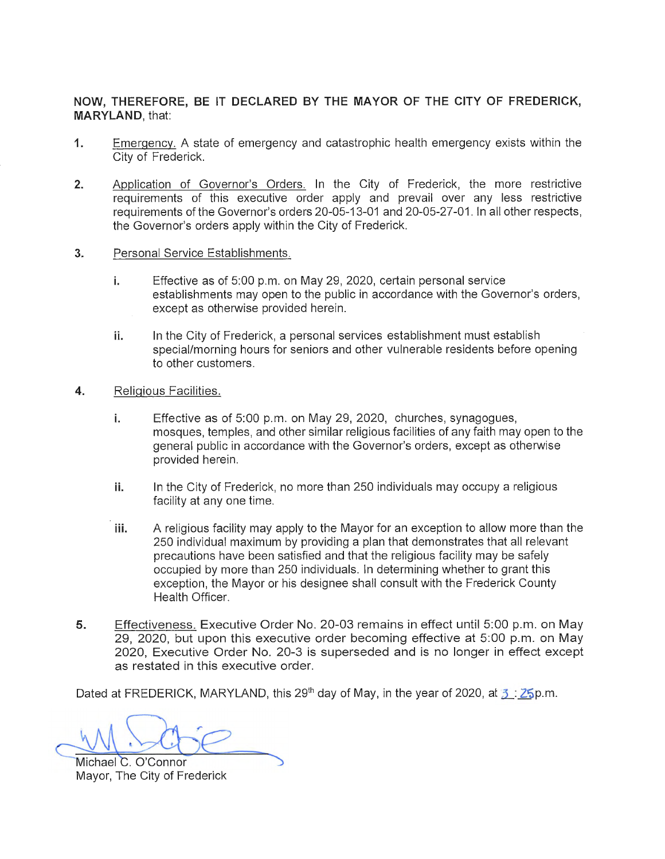## **NOW, THEREFORE, BE IT DECLARED BY THE MAYOR OF THE CITY OF FREDERICK, MARYLAND,** that:

- **1.**  Emergency. A state of emergency and catastrophic health emergency exists within the City of Frederick.
- **2.**  Application of Governor's Orders. In the City of Frederick, the more restrictive requirements of this executive order apply and prevail over any less restrictive requirements of the Governor's orders 20-05-13-01 and 20-05-27-01. In all other respects, the Governor's orders apply within the City of Frederick.
- **3.**  Personal Service Establishments.
	- **i.** Effective as of 5:00 p.m. on May 29, 2020, certain personal service establishments may open to the public in accordance with the Governor's orders, except as otherwise provided herein.
	- **ii.** In the City of Frederick, a personal services establishment must establish special/morning hours for seniors and other vulnerable residents before opening to other customers .
- **4.**  Religious Facilities.
	- **i.** Effective as of 5:00 p.m. on May 29, 2020, churches, synagogues, mosques, temples, and other similar religious facilities of any faith may open to the general public in accordance with the Governor's orders, except as otherwise provided herein.
	- **ii.** In the City of Frederick, no more than 250 individuals may occupy a religious facility at any one time.
	- **iii.** A religious facility may apply to the Mayor for an exception to allow more than the 250 individual maximum by providing a plan that demonstrates that all relevant precautions have been satisfied and that the religious facility may be safely occupied by more than 250 individuals. In determining whether to grant this exception, the Mayor or his designee shall consult with the Frederick County Health Officer.
- **5.**  Effectiveness. Executive Order No. 20-03 remains in effect until 5:00 p.m. on May 29, 2020, but upon this executive order becoming effective at 5:00 p.m. on May 2020, Executive Order No. 20-3 is superseded and is no longer in effect except as restated in this executive order.

Dated at FREDERICK, MARYLAND, this 29<sup>th</sup> day of May, in the year of 2020, at  $\frac{3}{2}$ :  $\frac{25}{9}$  m.

W. Scrie

Michael C. O'Connor Mayor, The City of Frederick